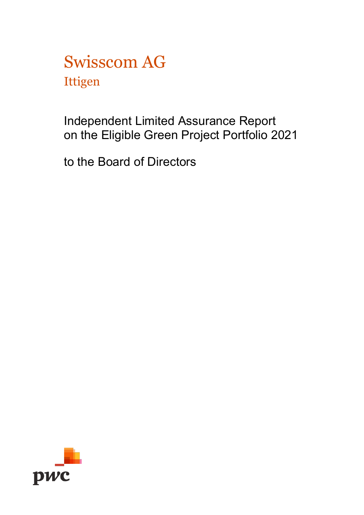Swisscom AG Ittigen

Independent Limited Assurance Report on the Eligible Green Project Portfolio 2021

to the Board of Directors

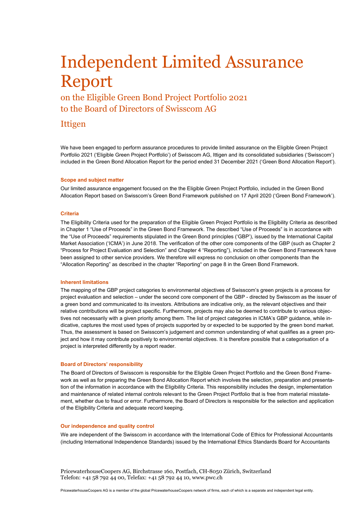# Independent Limited Assurance Report

on the Eligible Green Bond Project Portfolio 2021 to the Board of Directors of Swisscom AG

## Ittigen

We have been engaged to perform assurance procedures to provide limited assurance on the Eligible Green Project Portfolio 2021 ('Eligible Green Project Portfolio') of Swisscom AG, Ittigen and its consolidated subsidiaries ('Swisscom') included in the Green Bond Allocation Report for the period ended 31 December 2021 ('Green Bond Allocation Report').

#### **Scope and subject matter**

Our limited assurance engagement focused on the the Eligible Green Project Portfolio, included in the Green Bond Allocation Report based on Swisscom's Green Bond Framework published on 17 April 2020 ('Green Bond Framework').

#### **Criteria**

The Eligibility Criteria used for the preparation of the Eligible Green Project Portfolio is the Eligibility Criteria as described in Chapter 1 "Use of Proceeds" in the Green Bond Framework. The described "Use of Proceeds" is in accordance with the "Use of Proceeds" requirements stipulated in the Green Bond principles ('GBP'), issued by the International Capital Market Association ('ICMA') in June 2018. The verification of the other core components of the GBP (such as Chapter 2 "Process for Project Evaluation and Selection" and Chapter 4 "Reporting"), included in the Green Bond Framework have been assigned to other service providers. We therefore will express no conclusion on other components than the "Allocation Reporting" as described in the chapter "Reporting" on page 8 in the Green Bond Framework.

#### **Inherent limitations**

The mapping of the GBP project categories to environmental objectives of Swisscom's green projects is a process for project evaluation and selection – under the second core component of the GBP - directed by Swisscom as the issuer of a green bond and communicated to its investors. Attributions are indicative only, as the relevant objectives and their relative contributions will be project specific. Furthermore, projects may also be deemed to contribute to various objectives not necessarily with a given priority among them. The list of project categories in ICMA's GBP guidance, while indicative, captures the most used types of projects supported by or expected to be supported by the green bond market. Thus, the assessment is based on Swisscom's judgement and common understanding of what qualifies as a green project and how it may contribute positively to environmental objectives. It is therefore possible that a categorisation of a project is interpreted differently by a report reader.

#### **Board of Directors' responsibility**

The Board of Directors of Swisscom is responsible for the Eligible Green Project Portfolio and the Green Bond Framework as well as for preparing the Green Bond Allocation Report which involves the selection, preparation and presentation of the information in accordance with the Eligibility Criteria. This responsibility includes the design, implementation and maintenance of related internal controls relevant to the Green Project Portfolio that is free from material misstatement, whether due to fraud or error. Furthermore, the Board of Directors is responsible for the selection and application of the Eligibility Criteria and adequate record keeping.

### **Our independence and quality control**

We are independent of the Swisscom in accordance with the International Code of Ethics for Professional Accountants (including International Independence Standards) issued by the International Ethics Standards Board for Accountants

PricewaterhouseCoopers AG, Birchstrasse 160, Postfach, CH-8050 Zürich, Switzerland Telefon: +41 58 792 44 00, Telefax: +41 58 792 44 10, www.pwc.ch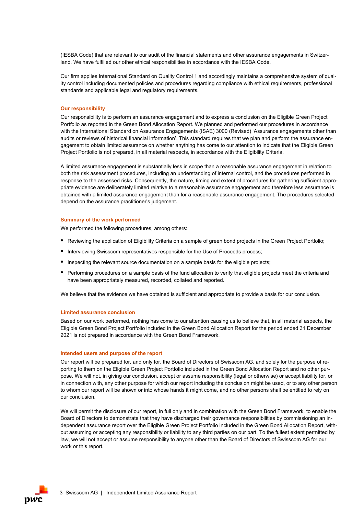(IESBA Code) that are relevant to our audit of the financial statements and other assurance engagements in Switzerland. We have fulfilled our other ethical responsibilities in accordance with the IESBA Code.

Our firm applies International Standard on Quality Control 1 and accordingly maintains a comprehensive system of quality control including documented policies and procedures regarding compliance with ethical requirements, professional standards and applicable legal and regulatory requirements.

#### **Our responsibility**

Our responsibility is to perform an assurance engagement and to express a conclusion on the Eligible Green Project Portfolio as reported in the Green Bond Allocation Report. We planned and performed our procedures in accordance with the International Standard on Assurance Engagements (ISAE) 3000 (Revised) 'Assurance engagements other than audits or reviews of historical financial information'. This standard requires that we plan and perform the assurance engagement to obtain limited assurance on whether anything has come to our attention to indicate that the Eligible Green Project Portfolio is not prepared, in all material respects, in accordance with the Eligibility Criteria.

A limited assurance engagement is substantially less in scope than a reasonable assurance engagement in relation to both the risk assessment procedures, including an understanding of internal control, and the procedures performed in response to the assessed risks. Consequently, the nature, timing and extent of procedures for gathering sufficient appropriate evidence are deliberately limited relative to a reasonable assurance engagement and therefore less assurance is obtained with a limited assurance engagement than for a reasonable assurance engagement. The procedures selected depend on the assurance practitioner's judgement.

#### **Summary of the work performed**

We performed the following procedures, among others:

- Reviewing the application of Eligibility Criteria on a sample of green bond projects in the Green Project Portfolio;
- Interviewing Swisscom representatives responsible for the Use of Proceeds process;
- Inspecting the relevant source documentation on a sample basis for the eligible projects;
- Performing procedures on a sample basis of the fund allocation to verify that eligible projects meet the criteria and have been appropriately measured, recorded, collated and reported.

We believe that the evidence we have obtained is sufficient and appropriate to provide a basis for our conclusion.

#### **Limited assurance conclusion**

Based on our work performed, nothing has come to our attention causing us to believe that, in all material aspects, the Eligible Green Bond Project Portfolio included in the Green Bond Allocation Report for the period ended 31 December 2021 is not prepared in accordance with the Green Bond Framework.

#### **Intended users and purpose of the report**

Our report will be prepared for, and only for, the Board of Directors of Swisscom AG, and solely for the purpose of reporting to them on the Eligible Green Project Portfolio included in the Green Bond Allocation Report and no other purpose. We will not, in giving our conclusion, accept or assume responsibility (legal or otherwise) or accept liability for, or in connection with, any other purpose for which our report including the conclusion might be used, or to any other person to whom our report will be shown or into whose hands it might come, and no other persons shall be entitled to rely on our conclusion.

We will permit the disclosure of our report, in full only and in combination with the Green Bond Framework, to enable the Board of Directors to demonstrate that they have discharged their governance responsibilities by commissioning an independent assurance report over the Eligible Green Project Portfolio included in the Green Bond Allocation Report, without assuming or accepting any responsibility or liability to any third parties on our part. To the fullest extent permitted by law, we will not accept or assume responsibility to anyone other than the Board of Directors of Swisscom AG for our work or this report.